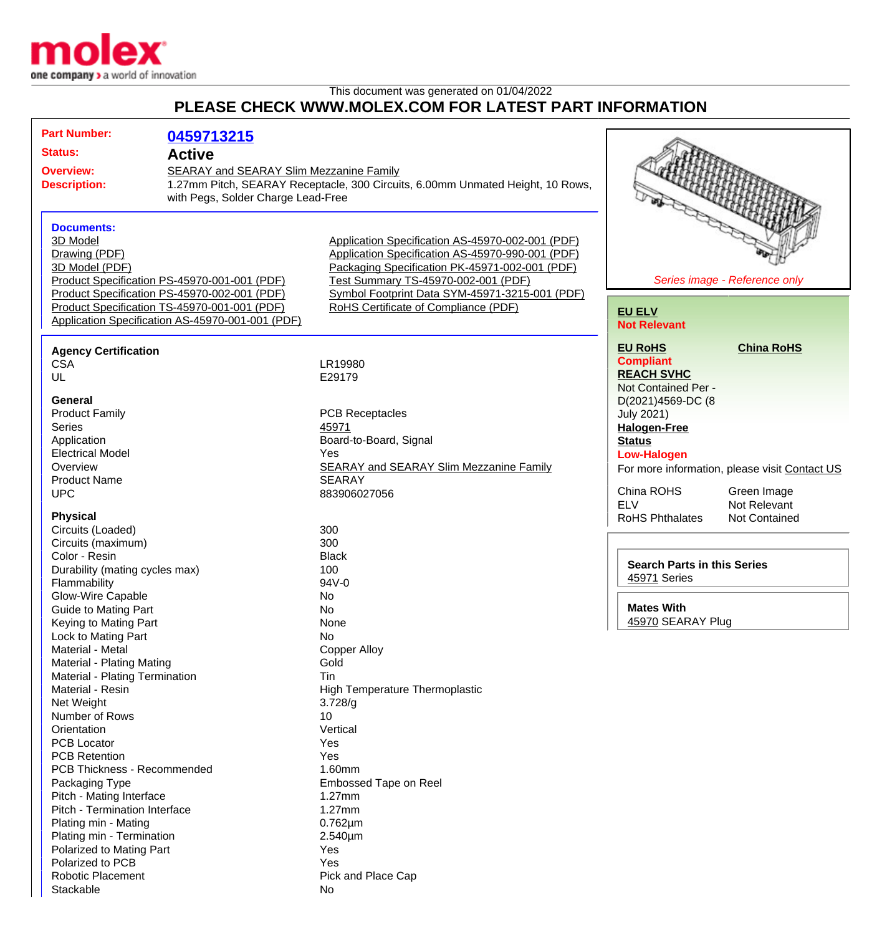

## This document was generated on 01/04/2022 **PLEASE CHECK WWW.MOLEX.COM FOR LATEST PART INFORMATION**

| <b>Part Number:</b>                                                                | 0459713215                                                                                                                                   |                                                                                                                                                                                                                                                                                                |                                                                                |                                                              |
|------------------------------------------------------------------------------------|----------------------------------------------------------------------------------------------------------------------------------------------|------------------------------------------------------------------------------------------------------------------------------------------------------------------------------------------------------------------------------------------------------------------------------------------------|--------------------------------------------------------------------------------|--------------------------------------------------------------|
| <b>Status:</b>                                                                     | <b>Active</b>                                                                                                                                |                                                                                                                                                                                                                                                                                                |                                                                                |                                                              |
| <b>Overview:</b><br>SEARAY and SEARAY Slim Mezzanine Family                        |                                                                                                                                              |                                                                                                                                                                                                                                                                                                |                                                                                |                                                              |
| <b>Description:</b>                                                                |                                                                                                                                              | 1.27mm Pitch, SEARAY Receptacle, 300 Circuits, 6.00mm Unmated Height, 10 Rows,<br>with Pegs, Solder Charge Lead-Free                                                                                                                                                                           |                                                                                |                                                              |
| <b>Documents:</b><br>3D Model<br>Drawing (PDF)<br>3D Model (PDF)                   | Product Specification PS-45970-001-001 (PDF)<br>Product Specification PS-45970-002-001 (PDF)<br>Product Specification TS-45970-001-001 (PDF) | Application Specification AS-45970-002-001 (PDF)<br>Application Specification AS-45970-990-001 (PDF)<br>Packaging Specification PK-45971-002-001 (PDF)<br>Test Summary TS-45970-002-001 (PDF)<br>Symbol Footprint Data SYM-45971-3215-001 (PDF)<br><b>RoHS Certificate of Compliance (PDF)</b> | <b>EU ELV</b>                                                                  | Series image - Reference only                                |
| Application Specification AS-45970-001-001 (PDF)                                   |                                                                                                                                              |                                                                                                                                                                                                                                                                                                | <b>Not Relevant</b>                                                            |                                                              |
| <b>Agency Certification</b><br><b>CSA</b><br>UL                                    |                                                                                                                                              | LR19980<br>E29179                                                                                                                                                                                                                                                                              | <b>EU RoHS</b><br><b>Compliant</b><br><b>REACH SVHC</b><br>Not Contained Per - | <b>China RoHS</b>                                            |
| General<br><b>Product Family</b><br><b>Series</b><br>Application                   |                                                                                                                                              | <b>PCB Receptacles</b><br>45971<br>Board-to-Board, Signal                                                                                                                                                                                                                                      | D(2021)4569-DC (8<br><b>July 2021)</b><br><b>Halogen-Free</b><br><b>Status</b> |                                                              |
| <b>Electrical Model</b><br>Overview<br><b>Product Name</b><br><b>UPC</b>           |                                                                                                                                              | Yes<br><b>SEARAY and SEARAY Slim Mezzanine Family</b><br><b>SEARAY</b><br>883906027056                                                                                                                                                                                                         | <b>Low-Halogen</b><br>China ROHS                                               | For more information, please visit Contact US<br>Green Image |
| <b>Physical</b><br>Circuits (Loaded)                                               |                                                                                                                                              | 300                                                                                                                                                                                                                                                                                            | <b>ELV</b><br><b>RoHS Phthalates</b>                                           | Not Relevant<br><b>Not Contained</b>                         |
| Circuits (maximum)<br>Color - Resin                                                |                                                                                                                                              | 300<br><b>Black</b>                                                                                                                                                                                                                                                                            | <b>Search Parts in this Series</b>                                             |                                                              |
| Durability (mating cycles max)<br>Flammability                                     |                                                                                                                                              | 100<br>94V-0                                                                                                                                                                                                                                                                                   | 45971 Series                                                                   |                                                              |
| <b>Glow-Wire Capable</b><br><b>Guide to Mating Part</b><br>Keying to Mating Part   |                                                                                                                                              | No<br>No<br>None                                                                                                                                                                                                                                                                               | <b>Mates With</b><br>45970 SEARAY Plug                                         |                                                              |
| Lock to Mating Part<br>Material - Metal<br>Material - Plating Mating               |                                                                                                                                              | No<br><b>Copper Alloy</b><br>Gold                                                                                                                                                                                                                                                              |                                                                                |                                                              |
| Material - Plating Termination<br>Material - Resin<br>Net Weight<br>Number of Rows |                                                                                                                                              | Tin<br><b>High Temperature Thermoplastic</b><br>3.728/g<br>10                                                                                                                                                                                                                                  |                                                                                |                                                              |
| Orientation<br><b>PCB Locator</b><br><b>PCB Retention</b>                          |                                                                                                                                              | Vertical<br>Yes<br>Yes                                                                                                                                                                                                                                                                         |                                                                                |                                                              |
| <b>PCB Thickness - Recommended</b><br>Packaging Type<br>Pitch - Mating Interface   |                                                                                                                                              | 1.60mm<br>Embossed Tape on Reel<br>1.27mm                                                                                                                                                                                                                                                      |                                                                                |                                                              |
| Pitch - Termination Interface<br>Plating min - Mating<br>Plating min - Termination |                                                                                                                                              | 1.27mm<br>$0.762 \mu m$<br>2.540µm                                                                                                                                                                                                                                                             |                                                                                |                                                              |
| Polarized to Mating Part<br>Polarized to PCB<br><b>Robotic Placement</b>           |                                                                                                                                              | Yes<br>Yes<br>Pick and Place Cap                                                                                                                                                                                                                                                               |                                                                                |                                                              |
| Stackable                                                                          |                                                                                                                                              | No                                                                                                                                                                                                                                                                                             |                                                                                |                                                              |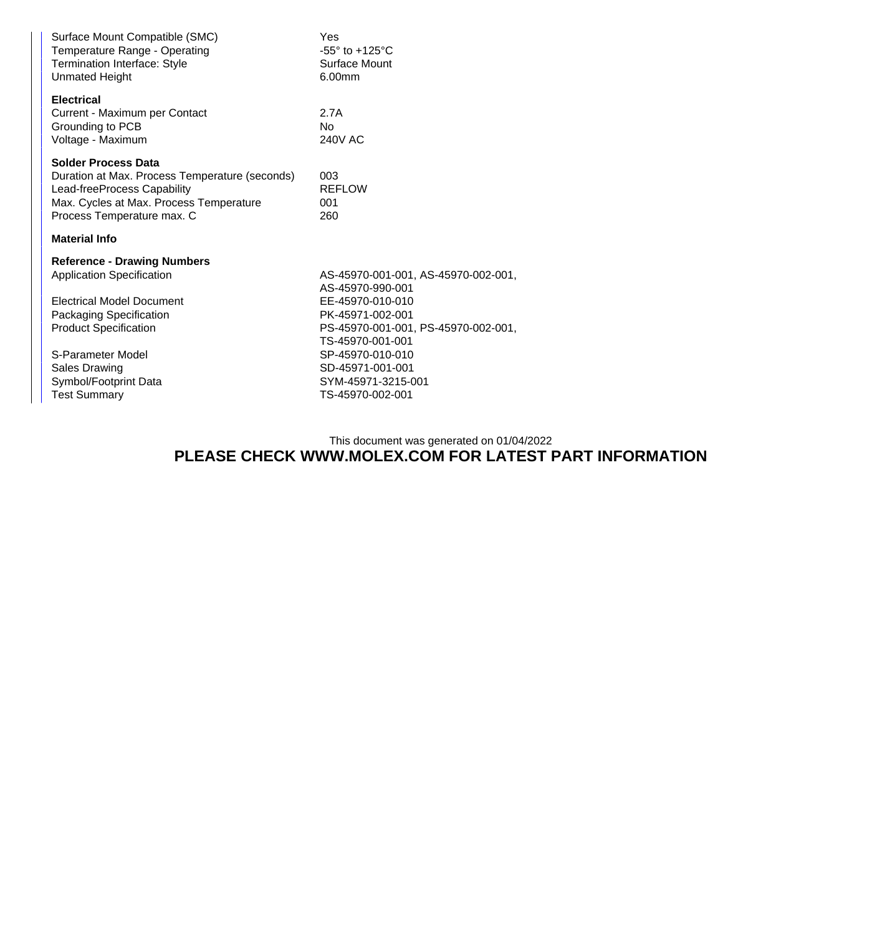| Yes<br>$-55^\circ$ to $+125^\circ$ C<br>Surface Mount<br>6.00mm                                 |  |  |  |  |
|-------------------------------------------------------------------------------------------------|--|--|--|--|
| 2.7A<br>No<br><b>240V AC</b>                                                                    |  |  |  |  |
| 003<br><b>REFLOW</b><br>001<br>260                                                              |  |  |  |  |
| <b>Material Info</b>                                                                            |  |  |  |  |
| AS-45970-001-001, AS-45970-002-001,<br>AS-45970-990-001                                         |  |  |  |  |
| EE-45970-010-010<br>PK-45971-002-001<br>PS-45970-001-001, PS-45970-002-001,<br>TS-45970-001-001 |  |  |  |  |
| SP-45970-010-010<br>SD-45971-001-001<br>SYM-45971-3215-001<br>TS-45970-002-001                  |  |  |  |  |
|                                                                                                 |  |  |  |  |

This document was generated on 01/04/2022

## **PLEASE CHECK WWW.MOLEX.COM FOR LATEST PART INFORMATION**